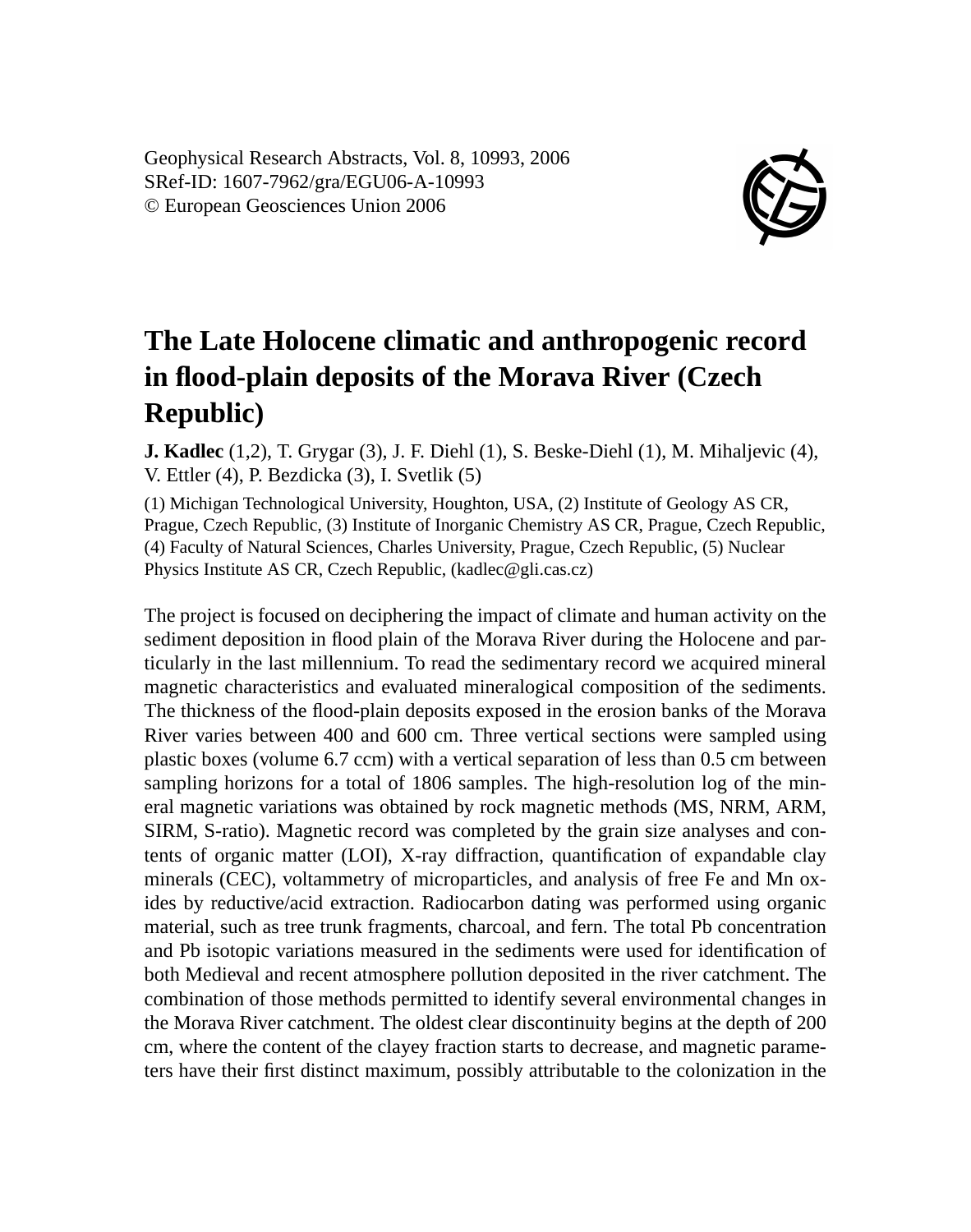Geophysical Research Abstracts, Vol. 8, 10993, 2006 SRef-ID: 1607-7962/gra/EGU06-A-10993 © European Geosciences Union 2006



## **The Late Holocene climatic and anthropogenic record in flood-plain deposits of the Morava River (Czech Republic)**

**J. Kadlec** (1,2), T. Grygar (3), J. F. Diehl (1), S. Beske-Diehl (1), M. Mihaljevic (4), V. Ettler (4), P. Bezdicka (3), I. Svetlik (5)

(1) Michigan Technological University, Houghton, USA, (2) Institute of Geology AS CR, Prague, Czech Republic, (3) Institute of Inorganic Chemistry AS CR, Prague, Czech Republic, (4) Faculty of Natural Sciences, Charles University, Prague, Czech Republic, (5) Nuclear Physics Institute AS CR, Czech Republic, (kadlec@gli.cas.cz)

The project is focused on deciphering the impact of climate and human activity on the sediment deposition in flood plain of the Morava River during the Holocene and particularly in the last millennium. To read the sedimentary record we acquired mineral magnetic characteristics and evaluated mineralogical composition of the sediments. The thickness of the flood-plain deposits exposed in the erosion banks of the Morava River varies between 400 and 600 cm. Three vertical sections were sampled using plastic boxes (volume 6.7 ccm) with a vertical separation of less than 0.5 cm between sampling horizons for a total of 1806 samples. The high-resolution log of the mineral magnetic variations was obtained by rock magnetic methods (MS, NRM, ARM, SIRM, S-ratio). Magnetic record was completed by the grain size analyses and contents of organic matter (LOI), X-ray diffraction, quantification of expandable clay minerals (CEC), voltammetry of microparticles, and analysis of free Fe and Mn oxides by reductive/acid extraction. Radiocarbon dating was performed using organic material, such as tree trunk fragments, charcoal, and fern. The total Pb concentration and Pb isotopic variations measured in the sediments were used for identification of both Medieval and recent atmosphere pollution deposited in the river catchment. The combination of those methods permitted to identify several environmental changes in the Morava River catchment. The oldest clear discontinuity begins at the depth of 200 cm, where the content of the clayey fraction starts to decrease, and magnetic parameters have their first distinct maximum, possibly attributable to the colonization in the